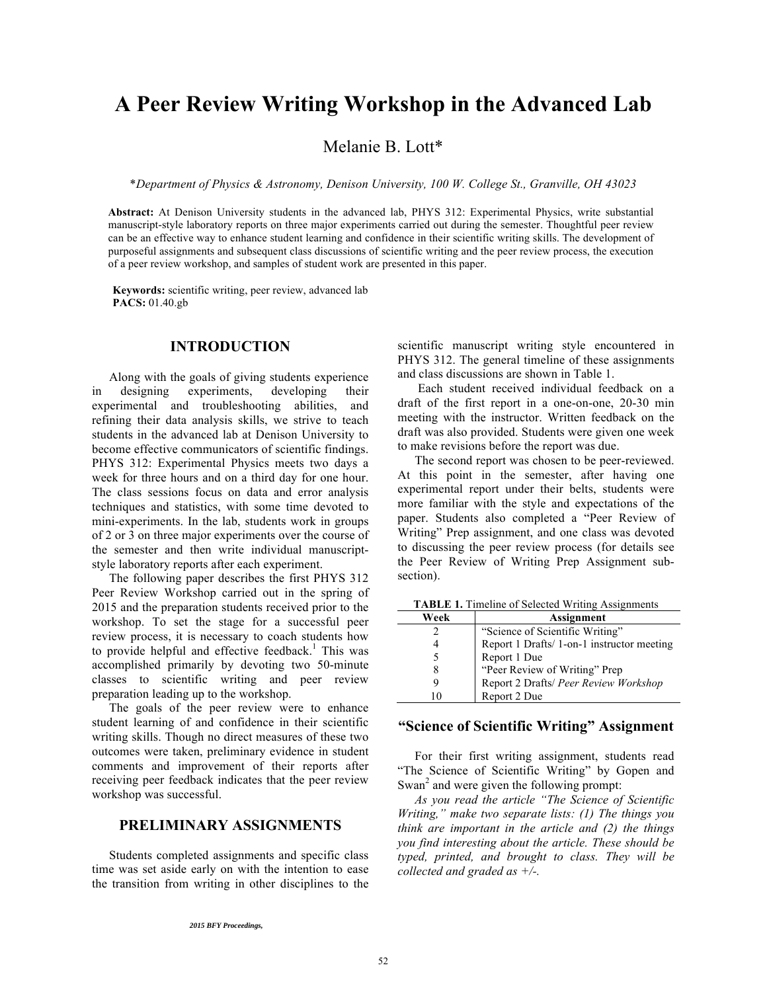# **A Peer Review Writing Workshop in the Advanced Lab**

Melanie B. Lott\*

\**Department of Physics & Astronomy, Denison University, 100 W. College St., Granville, OH 43023*

**Abstract:** At Denison University students in the advanced lab, PHYS 312: Experimental Physics, write substantial manuscript-style laboratory reports on three major experiments carried out during the semester. Thoughtful peer review can be an effective way to enhance student learning and confidence in their scientific writing skills. The development of purposeful assignments and subsequent class discussions of scientific writing and the peer review process, the execution of a peer review workshop, and samples of student work are presented in this paper.

 **Keywords:** scientific writing, peer review, advanced lab  **PACS:** 01.40.gb

# **INTRODUCTION**

Along with the goals of giving students experience in designing experiments, developing their experimental and troubleshooting abilities, and refining their data analysis skills, we strive to teach students in the advanced lab at Denison University to become effective communicators of scientific findings. PHYS 312: Experimental Physics meets two days a week for three hours and on a third day for one hour. The class sessions focus on data and error analysis techniques and statistics, with some time devoted to mini-experiments. In the lab, students work in groups of 2 or 3 on three major experiments over the course of the semester and then write individual manuscriptstyle laboratory reports after each experiment.

The following paper describes the first PHYS 312 Peer Review Workshop carried out in the spring of 2015 and the preparation students received prior to the workshop. To set the stage for a successful peer review process, it is necessary to coach students how to provide helpful and effective feedback.<sup>1</sup> This was accomplished primarily by devoting two 50-minute classes to scientific writing and peer review preparation leading up to the workshop.

The goals of the peer review were to enhance student learning of and confidence in their scientific writing skills. Though no direct measures of these two outcomes were taken, preliminary evidence in student comments and improvement of their reports after receiving peer feedback indicates that the peer review workshop was successful.

# **PRELIMINARY ASSIGNMENTS**

Students completed assignments and specific class time was set aside early on with the intention to ease the transition from writing in other disciplines to the scientific manuscript writing style encountered in PHYS 312. The general timeline of these assignments and class discussions are shown in Table 1.

 Each student received individual feedback on a draft of the first report in a one-on-one, 20-30 min meeting with the instructor. Written feedback on the draft was also provided. Students were given one week to make revisions before the report was due.

The second report was chosen to be peer-reviewed. At this point in the semester, after having one experimental report under their belts, students were more familiar with the style and expectations of the paper. Students also completed a "Peer Review of Writing" Prep assignment, and one class was devoted to discussing the peer review process (for details see the Peer Review of Writing Prep Assignment subsection).

**TABLE 1.** Timeline of Selected Writing Assignments

| Week | Assignment                                 |
|------|--------------------------------------------|
|      | "Science of Scientific Writing"            |
|      | Report 1 Drafts/ 1-on-1 instructor meeting |
|      | Report 1 Due                               |
| 8    | "Peer Review of Writing" Prep              |
|      | Report 2 Drafts/ Peer Review Workshop      |
| 10   | Report 2 Due                               |

## **"Science of Scientific Writing" Assignment**

For their first writing assignment, students read "The Science of Scientific Writing" by Gopen and Swan<sup>2</sup> and were given the following prompt:

*As you read the article "The Science of Scientific Writing," make two separate lists: (1) The things you think are important in the article and (2) the things you find interesting about the article. These should be typed, printed, and brought to class. They will be collected and graded as +/-.* 

<sup>2015</sup> BFY Proceedings, edited by Eblen-Zayas,Behringer, and Kozminski; Peer-reviewed,doi:10.1119/bfy.2015.pr.05 Published by the American Association of Physics Teachers under a Creative Commons Attribution 3.0 license

Further distribution must maintain attribution to the article's authors, title, proceedingscitation, and DOI.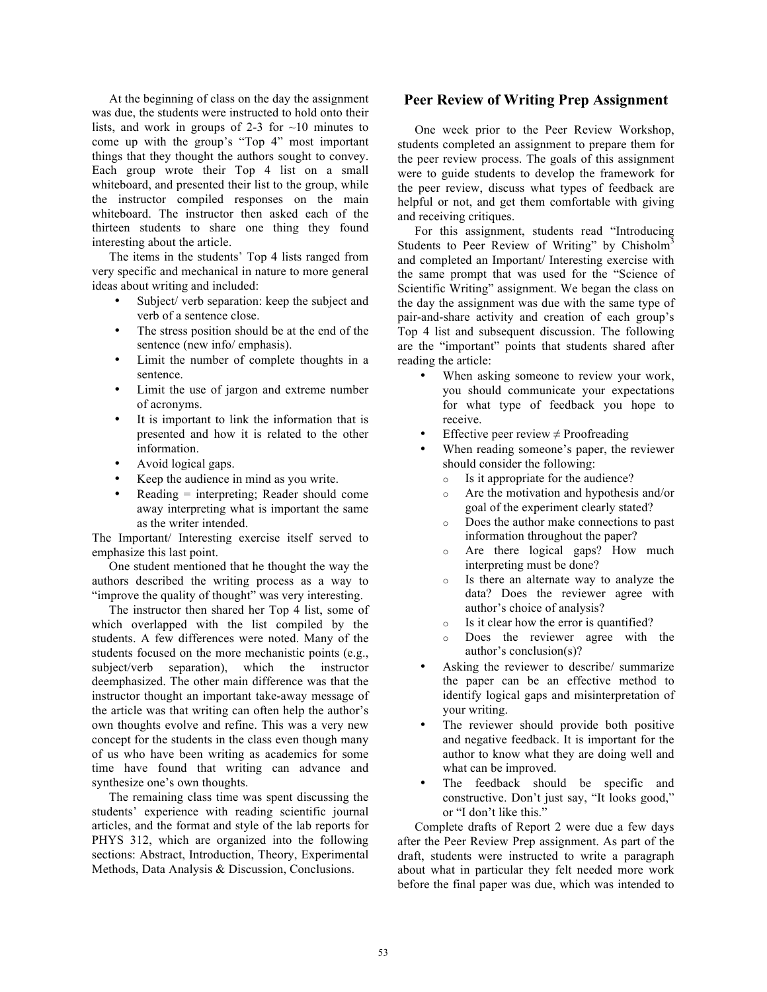At the beginning of class on the day the assignment was due, the students were instructed to hold onto their lists, and work in groups of 2-3 for  $\sim$ 10 minutes to come up with the group's "Top 4" most important things that they thought the authors sought to convey. Each group wrote their Top 4 list on a small whiteboard, and presented their list to the group, while the instructor compiled responses on the main whiteboard. The instructor then asked each of the thirteen students to share one thing they found interesting about the article.

The items in the students' Top 4 lists ranged from very specific and mechanical in nature to more general ideas about writing and included:

- Subject/ verb separation: keep the subject and verb of a sentence close.
- The stress position should be at the end of the sentence (new info/ emphasis).
- Limit the number of complete thoughts in a sentence.
- Limit the use of jargon and extreme number of acronyms.
- It is important to link the information that is presented and how it is related to the other information.
- Avoid logical gaps.
- Keep the audience in mind as you write.
- $Reading = interpreting; Reader should come$ away interpreting what is important the same as the writer intended.

The Important/ Interesting exercise itself served to emphasize this last point.

One student mentioned that he thought the way the authors described the writing process as a way to "improve the quality of thought" was very interesting.

The instructor then shared her Top 4 list, some of which overlapped with the list compiled by the students. A few differences were noted. Many of the students focused on the more mechanistic points (e.g., subject/verb separation), which the instructor deemphasized. The other main difference was that the instructor thought an important take-away message of the article was that writing can often help the author's own thoughts evolve and refine. This was a very new concept for the students in the class even though many of us who have been writing as academics for some time have found that writing can advance and synthesize one's own thoughts.

The remaining class time was spent discussing the students' experience with reading scientific journal articles, and the format and style of the lab reports for PHYS 312, which are organized into the following sections: Abstract, Introduction, Theory, Experimental Methods, Data Analysis & Discussion, Conclusions.

## **Peer Review of Writing Prep Assignment**

One week prior to the Peer Review Workshop, students completed an assignment to prepare them for the peer review process. The goals of this assignment were to guide students to develop the framework for the peer review, discuss what types of feedback are helpful or not, and get them comfortable with giving and receiving critiques.

For this assignment, students read "Introducing Students to Peer Review of Writing" by Chisholm<sup>3</sup> and completed an Important/ Interesting exercise with the same prompt that was used for the "Science of Scientific Writing" assignment. We began the class on the day the assignment was due with the same type of pair-and-share activity and creation of each group's Top 4 list and subsequent discussion. The following are the "important" points that students shared after reading the article:

- When asking someone to review your work, you should communicate your expectations for what type of feedback you hope to receive.
- Effective peer review  $\neq$  Proofreading
- When reading someone's paper, the reviewer should consider the following:
	- o Is it appropriate for the audience?
	- o Are the motivation and hypothesis and/or goal of the experiment clearly stated?
	- o Does the author make connections to past information throughout the paper?
	- o Are there logical gaps? How much interpreting must be done?
	- o Is there an alternate way to analyze the data? Does the reviewer agree with author's choice of analysis?
	- o Is it clear how the error is quantified?
	- o Does the reviewer agree with the author's conclusion(s)?
- Asking the reviewer to describe/ summarize the paper can be an effective method to identify logical gaps and misinterpretation of your writing.
- The reviewer should provide both positive and negative feedback. It is important for the author to know what they are doing well and what can be improved.
- The feedback should be specific and constructive. Don't just say, "It looks good," or "I don't like this."

Complete drafts of Report 2 were due a few days after the Peer Review Prep assignment. As part of the draft, students were instructed to write a paragraph about what in particular they felt needed more work before the final paper was due, which was intended to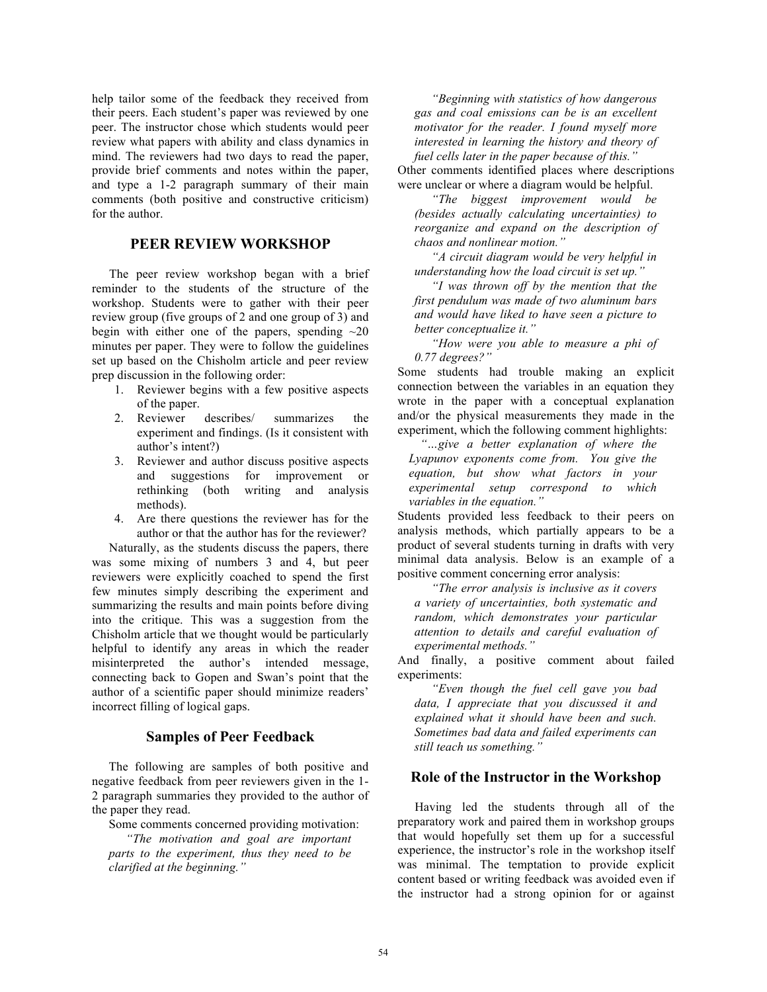help tailor some of the feedback they received from their peers. Each student's paper was reviewed by one peer. The instructor chose which students would peer review what papers with ability and class dynamics in mind. The reviewers had two days to read the paper, provide brief comments and notes within the paper, and type a 1-2 paragraph summary of their main comments (both positive and constructive criticism) for the author.

# **PEER REVIEW WORKSHOP**

The peer review workshop began with a brief reminder to the students of the structure of the workshop. Students were to gather with their peer review group (five groups of 2 and one group of 3) and begin with either one of the papers, spending  $\sim 20$ minutes per paper. They were to follow the guidelines set up based on the Chisholm article and peer review prep discussion in the following order:

- 1. Reviewer begins with a few positive aspects of the paper.
- 2. Reviewer describes/ summarizes the experiment and findings. (Is it consistent with author's intent?)
- 3. Reviewer and author discuss positive aspects and suggestions for improvement or rethinking (both writing and analysis methods).
- 4. Are there questions the reviewer has for the author or that the author has for the reviewer?

Naturally, as the students discuss the papers, there was some mixing of numbers 3 and 4, but peer reviewers were explicitly coached to spend the first few minutes simply describing the experiment and summarizing the results and main points before diving into the critique. This was a suggestion from the Chisholm article that we thought would be particularly helpful to identify any areas in which the reader misinterpreted the author's intended message, connecting back to Gopen and Swan's point that the author of a scientific paper should minimize readers' incorrect filling of logical gaps.

## **Samples of Peer Feedback**

The following are samples of both positive and negative feedback from peer reviewers given in the 1- 2 paragraph summaries they provided to the author of the paper they read.

Some comments concerned providing motivation: *"The motivation and goal are important parts to the experiment, thus they need to be clarified at the beginning."*

*"Beginning with statistics of how dangerous gas and coal emissions can be is an excellent motivator for the reader. I found myself more interested in learning the history and theory of fuel cells later in the paper because of this."*

Other comments identified places where descriptions were unclear or where a diagram would be helpful.

*"The biggest improvement would be (besides actually calculating uncertainties) to reorganize and expand on the description of chaos and nonlinear motion."*

*"A circuit diagram would be very helpful in understanding how the load circuit is set up."*

*"I was thrown off by the mention that the first pendulum was made of two aluminum bars and would have liked to have seen a picture to better conceptualize it."*

*"How were you able to measure a phi of 0.77 degrees?"*

Some students had trouble making an explicit connection between the variables in an equation they wrote in the paper with a conceptual explanation and/or the physical measurements they made in the experiment, which the following comment highlights:

*"…give a better explanation of where the Lyapunov exponents come from. You give the equation, but show what factors in your experimental setup correspond to which variables in the equation."*

Students provided less feedback to their peers on analysis methods, which partially appears to be a product of several students turning in drafts with very minimal data analysis. Below is an example of a positive comment concerning error analysis:

*"The error analysis is inclusive as it covers a variety of uncertainties, both systematic and random, which demonstrates your particular attention to details and careful evaluation of experimental methods."*

And finally, a positive comment about failed experiments:

*"Even though the fuel cell gave you bad data, I appreciate that you discussed it and explained what it should have been and such. Sometimes bad data and failed experiments can still teach us something."*

# **Role of the Instructor in the Workshop**

Having led the students through all of the preparatory work and paired them in workshop groups that would hopefully set them up for a successful experience, the instructor's role in the workshop itself was minimal. The temptation to provide explicit content based or writing feedback was avoided even if the instructor had a strong opinion for or against